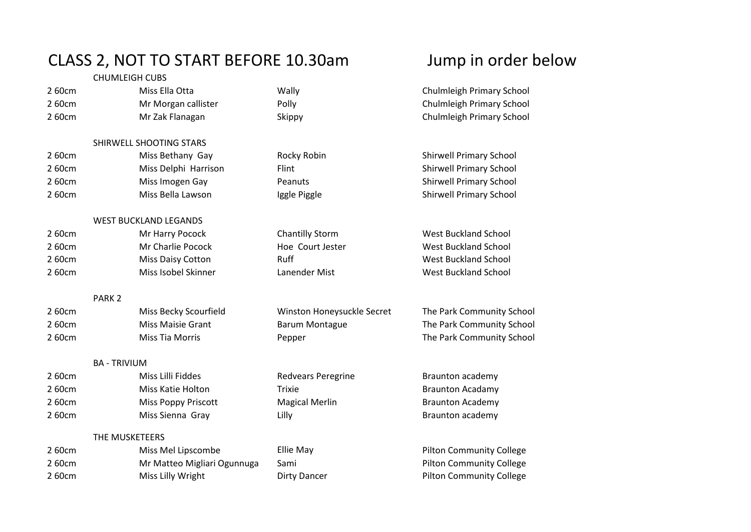## CLASS 2, NOT TO START BEFORE 10.30am Jump in order below

|        | <b>CHUMLEIGH CUBS</b>        |                            |                                 |
|--------|------------------------------|----------------------------|---------------------------------|
| 260cm  | Miss Ella Otta               | Wally                      | Chulmleigh Primary School       |
| 260cm  | Mr Morgan callister          | Polly                      | Chulmleigh Primary School       |
| 260cm  | Mr Zak Flanagan              | Skippy                     | Chulmleigh Primary School       |
|        | SHIRWELL SHOOTING STARS      |                            |                                 |
| 260cm  | Miss Bethany Gay             | Rocky Robin                | <b>Shirwell Primary School</b>  |
| 260cm  | Miss Delphi Harrison         | Flint                      | <b>Shirwell Primary School</b>  |
| 260cm  | Miss Imogen Gay              | Peanuts                    | <b>Shirwell Primary School</b>  |
| 260cm  | Miss Bella Lawson            | Iggle Piggle               | <b>Shirwell Primary School</b>  |
|        | <b>WEST BUCKLAND LEGANDS</b> |                            |                                 |
| 260cm  | Mr Harry Pocock              | <b>Chantilly Storm</b>     | <b>West Buckland School</b>     |
| 260cm  | Mr Charlie Pocock            | Hoe Court Jester           | <b>West Buckland School</b>     |
| 260cm  | Miss Daisy Cotton            | Ruff                       | <b>West Buckland School</b>     |
| 2 60cm | Miss Isobel Skinner          | Lanender Mist              | <b>West Buckland School</b>     |
|        | PARK <sub>2</sub>            |                            |                                 |
| 260cm  | Miss Becky Scourfield        | Winston Honeysuckle Secret | The Park Community School       |
| 260cm  | Miss Maisie Grant            | <b>Barum Montague</b>      | The Park Community School       |
| 260cm  | <b>Miss Tia Morris</b>       | Pepper                     | The Park Community School       |
|        | <b>BA - TRIVIUM</b>          |                            |                                 |
| 260cm  | Miss Lilli Fiddes            | Redvears Peregrine         | Braunton academy                |
| 260cm  | Miss Katie Holton            | <b>Trixie</b>              | <b>Braunton Acadamy</b>         |
| 2 60cm | Miss Poppy Priscott          | <b>Magical Merlin</b>      | <b>Braunton Academy</b>         |
| 2 60cm | Miss Sienna Gray             | Lilly                      | Braunton academy                |
|        | THE MUSKETEERS               |                            |                                 |
| 260cm  | Miss Mel Lipscombe           | Ellie May                  | <b>Pilton Community College</b> |
| 260cm  | Mr Matteo Migliari Ogunnuga  | Sami                       | <b>Pilton Community College</b> |
| 260cm  | Miss Lilly Wright            | <b>Dirty Dancer</b>        | <b>Pilton Community College</b> |